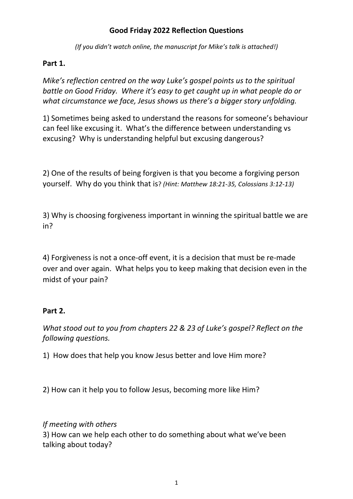## **Good Friday 2022 Reflection Questions**

*(If you didn't watch online, the manuscript for Mike's talk is attached!)*

## **Part 1.**

*Mike's reflection centred on the way Luke's gospel points us to the spiritual battle on Good Friday. Where it's easy to get caught up in what people do or what circumstance we face, Jesus shows us there's a bigger story unfolding.* 

1) Sometimes being asked to understand the reasons for someone's behaviour can feel like excusing it. What's the difference between understanding vs excusing? Why is understanding helpful but excusing dangerous?

2) One of the results of being forgiven is that you become a forgiving person yourself. Why do you think that is? *(Hint: Matthew 18:21-35, Colossians 3:12-13)*

3) Why is choosing forgiveness important in winning the spiritual battle we are in?

4) Forgiveness is not a once-off event, it is a decision that must be re-made over and over again. What helps you to keep making that decision even in the midst of your pain?

### **Part 2.**

*What stood out to you from chapters 22 & 23 of Luke's gospel? Reflect on the following questions.* 

1) How does that help you know Jesus better and love Him more?

2) How can it help you to follow Jesus, becoming more like Him?

# *If meeting with others*

3) How can we help each other to do something about what we've been talking about today?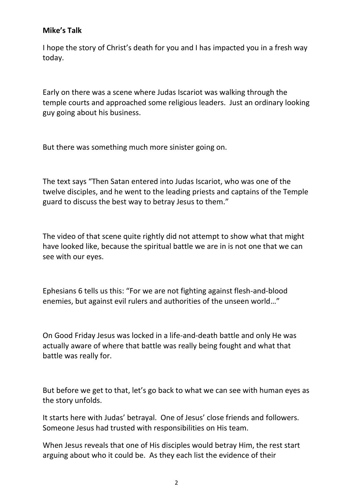### **Mike's Talk**

I hope the story of Christ's death for you and I has impacted you in a fresh way today.

Early on there was a scene where Judas Iscariot was walking through the temple courts and approached some religious leaders. Just an ordinary looking guy going about his business.

But there was something much more sinister going on.

The text says "Then Satan entered into Judas Iscariot, who was one of the twelve disciples, and he went to the leading priests and captains of the Temple guard to discuss the best way to betray Jesus to them."

The video of that scene quite rightly did not attempt to show what that might have looked like, because the spiritual battle we are in is not one that we can see with our eyes.

Ephesians 6 tells us this: "For we are not fighting against flesh-and-blood enemies, but against evil rulers and authorities of the unseen world…"

On Good Friday Jesus was locked in a life-and-death battle and only He was actually aware of where that battle was really being fought and what that battle was really for.

But before we get to that, let's go back to what we can see with human eyes as the story unfolds.

It starts here with Judas' betrayal. One of Jesus' close friends and followers. Someone Jesus had trusted with responsibilities on His team.

When Jesus reveals that one of His disciples would betray Him, the rest start arguing about who it could be. As they each list the evidence of their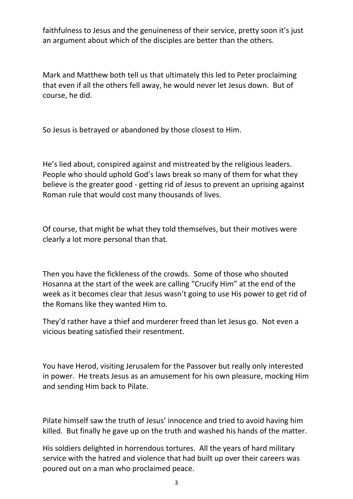faithfulness to Jesus and the genuineness of their service, pretty soon it's just an argument about which of the disciples are better than the others.

Mark and Matthew both tell us that ultimately this led to Peter proclaiming that even if all the others fell away, he would never let Jesus down. But of course, he did.

So Jesus is betrayed or abandoned by those closest to Him.

He's lied about, conspired against and mistreated by the religious leaders. People who should uphold God's laws break so many of them for what they believe is the greater good - getting rid of Jesus to prevent an uprising against Roman rule that would cost many thousands of lives.

Of course, that might be what they told themselves, but their motives were clearly a lot more personal than that.

Then you have the fickleness of the crowds. Some of those who shouted Hosanna at the start of the week are calling "Crucify Him" at the end of the week as it becomes clear that Jesus wasn't going to use His power to get rid of the Romans like they wanted Him to.

They'd rather have a thief and murderer freed than let Jesus go. Not even a vicious beating satisfied their resentment.

You have Herod, visiting Jerusalem for the Passover but really only interested in power. He treats Jesus as an amusement for his own pleasure, mocking Him and sending Him back to Pilate.

Pilate himself saw the truth of Jesus' innocence and tried to avoid having him killed. But finally he gave up on the truth and washed his hands of the matter.

His soldiers delighted in horrendous tortures. All the years of hard military service with the hatred and violence that had built up over their careers was poured out on a man who proclaimed peace.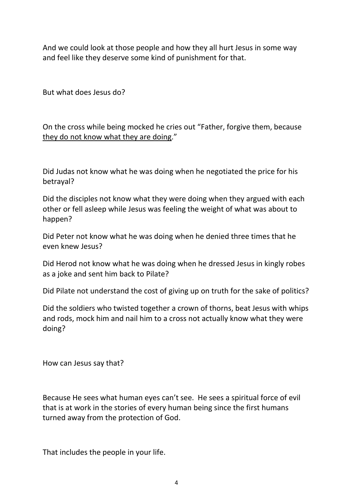And we could look at those people and how they all hurt Jesus in some way and feel like they deserve some kind of punishment for that.

But what does Jesus do?

On the cross while being mocked he cries out "Father, forgive them, because they do not know what they are doing."

Did Judas not know what he was doing when he negotiated the price for his betrayal?

Did the disciples not know what they were doing when they argued with each other or fell asleep while Jesus was feeling the weight of what was about to happen?

Did Peter not know what he was doing when he denied three times that he even knew Jesus?

Did Herod not know what he was doing when he dressed Jesus in kingly robes as a joke and sent him back to Pilate?

Did Pilate not understand the cost of giving up on truth for the sake of politics?

Did the soldiers who twisted together a crown of thorns, beat Jesus with whips and rods, mock him and nail him to a cross not actually know what they were doing?

How can Jesus say that?

Because He sees what human eyes can't see. He sees a spiritual force of evil that is at work in the stories of every human being since the first humans turned away from the protection of God.

That includes the people in your life.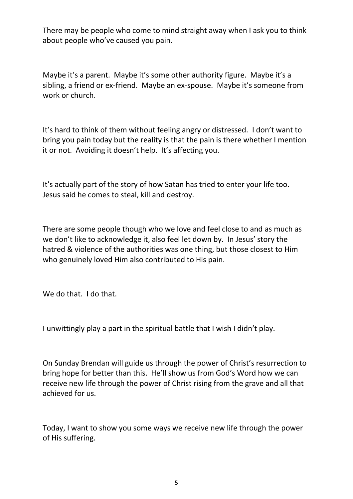There may be people who come to mind straight away when I ask you to think about people who've caused you pain.

Maybe it's a parent. Maybe it's some other authority figure. Maybe it's a sibling, a friend or ex-friend. Maybe an ex-spouse. Maybe it's someone from work or church.

It's hard to think of them without feeling angry or distressed. I don't want to bring you pain today but the reality is that the pain is there whether I mention it or not. Avoiding it doesn't help. It's affecting you.

It's actually part of the story of how Satan has tried to enter your life too. Jesus said he comes to steal, kill and destroy.

There are some people though who we love and feel close to and as much as we don't like to acknowledge it, also feel let down by. In Jesus' story the hatred & violence of the authorities was one thing, but those closest to Him who genuinely loved Him also contributed to His pain.

We do that. I do that.

I unwittingly play a part in the spiritual battle that I wish I didn't play.

On Sunday Brendan will guide us through the power of Christ's resurrection to bring hope for better than this. He'll show us from God's Word how we can receive new life through the power of Christ rising from the grave and all that achieved for us.

Today, I want to show you some ways we receive new life through the power of His suffering.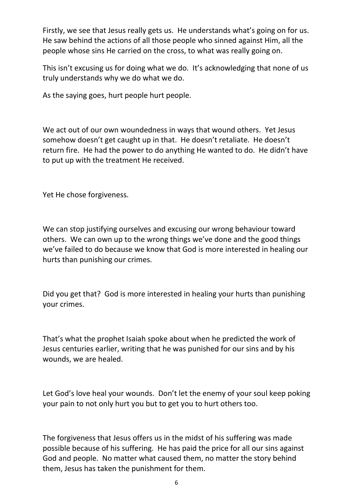Firstly, we see that Jesus really gets us. He understands what's going on for us. He saw behind the actions of all those people who sinned against Him, all the people whose sins He carried on the cross, to what was really going on.

This isn't excusing us for doing what we do. It's acknowledging that none of us truly understands why we do what we do.

As the saying goes, hurt people hurt people.

We act out of our own woundedness in ways that wound others. Yet Jesus somehow doesn't get caught up in that. He doesn't retaliate. He doesn't return fire. He had the power to do anything He wanted to do. He didn't have to put up with the treatment He received.

Yet He chose forgiveness.

We can stop justifying ourselves and excusing our wrong behaviour toward others. We can own up to the wrong things we've done and the good things we've failed to do because we know that God is more interested in healing our hurts than punishing our crimes.

Did you get that? God is more interested in healing your hurts than punishing your crimes.

That's what the prophet Isaiah spoke about when he predicted the work of Jesus centuries earlier, writing that he was punished for our sins and by his wounds, we are healed.

Let God's love heal your wounds. Don't let the enemy of your soul keep poking your pain to not only hurt you but to get you to hurt others too.

The forgiveness that Jesus offers us in the midst of his suffering was made possible because of his suffering. He has paid the price for all our sins against God and people. No matter what caused them, no matter the story behind them, Jesus has taken the punishment for them.